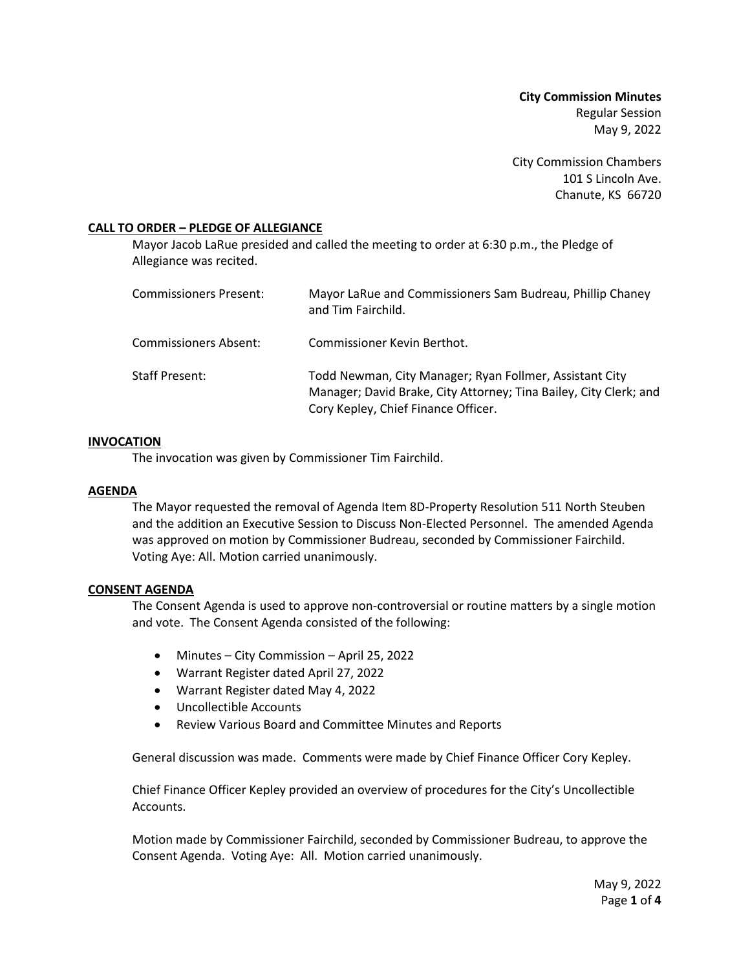**City Commission Minutes** Regular Session May 9, 2022

City Commission Chambers 101 S Lincoln Ave. Chanute, KS 66720

## **CALL TO ORDER – PLEDGE OF ALLEGIANCE**

Mayor Jacob LaRue presided and called the meeting to order at 6:30 p.m., the Pledge of Allegiance was recited.

| Commissioners Present: | Mayor LaRue and Commissioners Sam Budreau, Phillip Chaney<br>and Tim Fairchild.                                                                                     |
|------------------------|---------------------------------------------------------------------------------------------------------------------------------------------------------------------|
| Commissioners Absent:  | Commissioner Kevin Berthot.                                                                                                                                         |
| <b>Staff Present:</b>  | Todd Newman, City Manager; Ryan Follmer, Assistant City<br>Manager; David Brake, City Attorney; Tina Bailey, City Clerk; and<br>Cory Kepley, Chief Finance Officer. |

#### **INVOCATION**

The invocation was given by Commissioner Tim Fairchild.

#### **AGENDA**

The Mayor requested the removal of Agenda Item 8D-Property Resolution 511 North Steuben and the addition an Executive Session to Discuss Non-Elected Personnel. The amended Agenda was approved on motion by Commissioner Budreau, seconded by Commissioner Fairchild. Voting Aye: All. Motion carried unanimously.

#### **CONSENT AGENDA**

The Consent Agenda is used to approve non-controversial or routine matters by a single motion and vote. The Consent Agenda consisted of the following:

- Minutes City Commission April 25, 2022
- Warrant Register dated April 27, 2022
- Warrant Register dated May 4, 2022
- Uncollectible Accounts
- Review Various Board and Committee Minutes and Reports

General discussion was made. Comments were made by Chief Finance Officer Cory Kepley.

Chief Finance Officer Kepley provided an overview of procedures for the City's Uncollectible Accounts.

Motion made by Commissioner Fairchild, seconded by Commissioner Budreau, to approve the Consent Agenda. Voting Aye: All. Motion carried unanimously.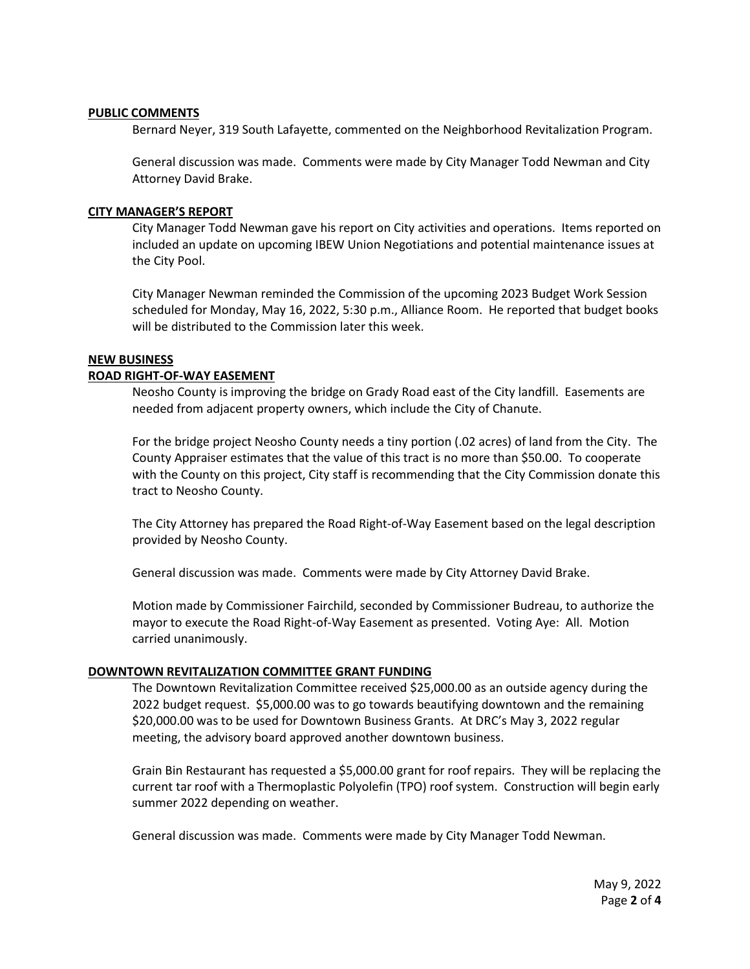#### **PUBLIC COMMENTS**

Bernard Neyer, 319 South Lafayette, commented on the Neighborhood Revitalization Program.

General discussion was made. Comments were made by City Manager Todd Newman and City Attorney David Brake.

## **CITY MANAGER'S REPORT**

City Manager Todd Newman gave his report on City activities and operations. Items reported on included an update on upcoming IBEW Union Negotiations and potential maintenance issues at the City Pool.

City Manager Newman reminded the Commission of the upcoming 2023 Budget Work Session scheduled for Monday, May 16, 2022, 5:30 p.m., Alliance Room. He reported that budget books will be distributed to the Commission later this week.

## **NEW BUSINESS**

## **ROAD RIGHT-OF-WAY EASEMENT**

Neosho County is improving the bridge on Grady Road east of the City landfill. Easements are needed from adjacent property owners, which include the City of Chanute.

For the bridge project Neosho County needs a tiny portion (.02 acres) of land from the City. The County Appraiser estimates that the value of this tract is no more than \$50.00. To cooperate with the County on this project, City staff is recommending that the City Commission donate this tract to Neosho County.

The City Attorney has prepared the Road Right-of-Way Easement based on the legal description provided by Neosho County.

General discussion was made. Comments were made by City Attorney David Brake.

Motion made by Commissioner Fairchild, seconded by Commissioner Budreau, to authorize the mayor to execute the Road Right-of-Way Easement as presented. Voting Aye: All. Motion carried unanimously.

# **DOWNTOWN REVITALIZATION COMMITTEE GRANT FUNDING**

The Downtown Revitalization Committee received \$25,000.00 as an outside agency during the 2022 budget request. \$5,000.00 was to go towards beautifying downtown and the remaining \$20,000.00 was to be used for Downtown Business Grants. At DRC's May 3, 2022 regular meeting, the advisory board approved another downtown business.

Grain Bin Restaurant has requested a \$5,000.00 grant for roof repairs. They will be replacing the current tar roof with a Thermoplastic Polyolefin (TPO) roof system. Construction will begin early summer 2022 depending on weather.

General discussion was made. Comments were made by City Manager Todd Newman.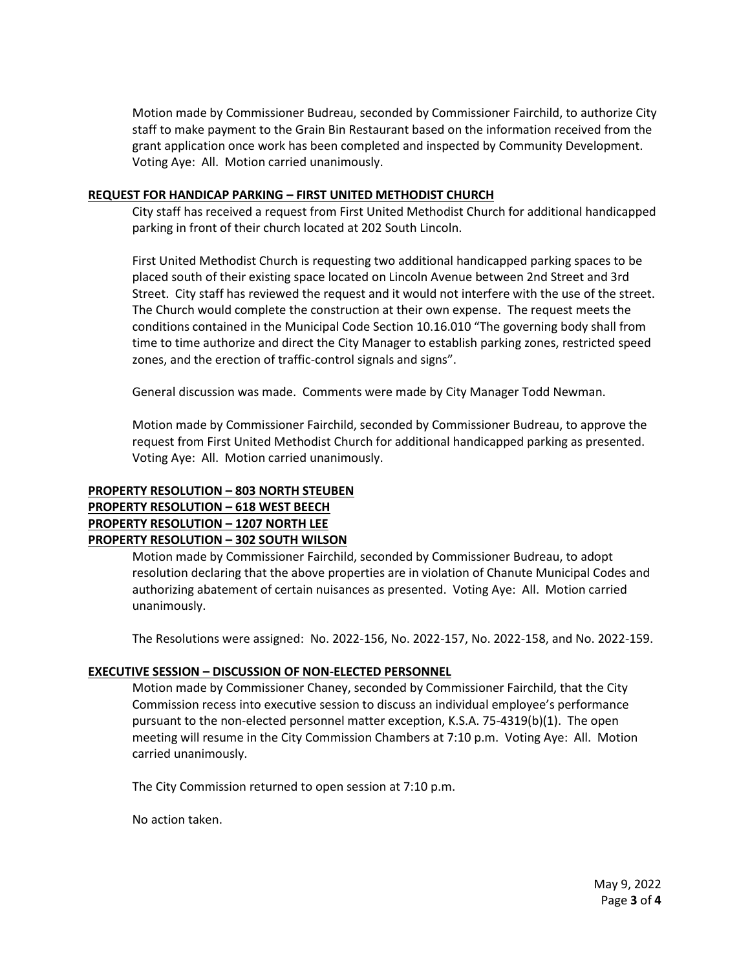Motion made by Commissioner Budreau, seconded by Commissioner Fairchild, to authorize City staff to make payment to the Grain Bin Restaurant based on the information received from the grant application once work has been completed and inspected by Community Development. Voting Aye: All. Motion carried unanimously.

## **REQUEST FOR HANDICAP PARKING – FIRST UNITED METHODIST CHURCH**

City staff has received a request from First United Methodist Church for additional handicapped parking in front of their church located at 202 South Lincoln.

First United Methodist Church is requesting two additional handicapped parking spaces to be placed south of their existing space located on Lincoln Avenue between 2nd Street and 3rd Street. City staff has reviewed the request and it would not interfere with the use of the street. The Church would complete the construction at their own expense. The request meets the conditions contained in the Municipal Code Section 10.16.010 "The governing body shall from time to time authorize and direct the City Manager to establish parking zones, restricted speed zones, and the erection of traffic-control signals and signs".

General discussion was made. Comments were made by City Manager Todd Newman.

Motion made by Commissioner Fairchild, seconded by Commissioner Budreau, to approve the request from First United Methodist Church for additional handicapped parking as presented. Voting Aye: All. Motion carried unanimously.

# **PROPERTY RESOLUTION – 803 NORTH STEUBEN PROPERTY RESOLUTION – 618 WEST BEECH PROPERTY RESOLUTION – 1207 NORTH LEE PROPERTY RESOLUTION – 302 SOUTH WILSON**

Motion made by Commissioner Fairchild, seconded by Commissioner Budreau, to adopt resolution declaring that the above properties are in violation of Chanute Municipal Codes and authorizing abatement of certain nuisances as presented. Voting Aye: All. Motion carried unanimously.

The Resolutions were assigned: No. 2022-156, No. 2022-157, No. 2022-158, and No. 2022-159.

# **EXECUTIVE SESSION – DISCUSSION OF NON-ELECTED PERSONNEL**

Motion made by Commissioner Chaney, seconded by Commissioner Fairchild, that the City Commission recess into executive session to discuss an individual employee's performance pursuant to the non-elected personnel matter exception, K.S.A. 75-4319(b)(1). The open meeting will resume in the City Commission Chambers at 7:10 p.m. Voting Aye: All. Motion carried unanimously.

The City Commission returned to open session at 7:10 p.m.

No action taken.